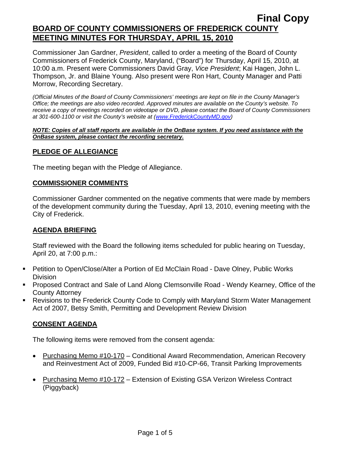Commissioner Jan Gardner, *President*, called to order a meeting of the Board of County Commissioners of Frederick County, Maryland, ("Board") for Thursday, April 15, 2010, at 10:00 a.m. Present were Commissioners David Gray, *Vice President*; Kai Hagen, John L. Thompson, Jr. and Blaine Young. Also present were Ron Hart, County Manager and Patti Morrow, Recording Secretary.

*(Official Minutes of the Board of County Commissioners' meetings are kept on file in the County Manager's Office; the meetings are also video recorded. Approved minutes are available on the County's website. To receive a copy of meetings recorded on videotape or DVD, please contact the Board of County Commissioners at 301-600-1100 or visit the County's website at ([www.FrederickCountyMD.gov](http://www.frederickcountymd.gov/))* 

#### *NOTE: Copies of all staff reports are available in the OnBase system. If you need assistance with the OnBase system, please contact the recording secretary.*

## **PLEDGE OF ALLEGIANCE**

The meeting began with the Pledge of Allegiance.

#### **COMMISSIONER COMMENTS**

Commissioner Gardner commented on the negative comments that were made by members of the development community during the Tuesday, April 13, 2010, evening meeting with the City of Frederick.

#### **AGENDA BRIEFING**

Staff reviewed with the Board the following items scheduled for public hearing on Tuesday, April 20, at 7:00 p.m.:

- Petition to Open/Close/Alter a Portion of Ed McClain Road Dave Olney, Public Works **Division**
- Proposed Contract and Sale of Land Along Clemsonville Road Wendy Kearney, Office of the County Attorney
- Revisions to the Frederick County Code to Comply with Maryland Storm Water Management Act of 2007, Betsy Smith, Permitting and Development Review Division

## **CONSENT AGENDA**

The following items were removed from the consent agenda:

- Purchasing Memo #10-170 Conditional Award Recommendation, American Recovery and Reinvestment Act of 2009, Funded Bid #10-CP-66, Transit Parking Improvements
- Purchasing Memo #10-172 Extension of Existing GSA Verizon Wireless Contract (Piggyback)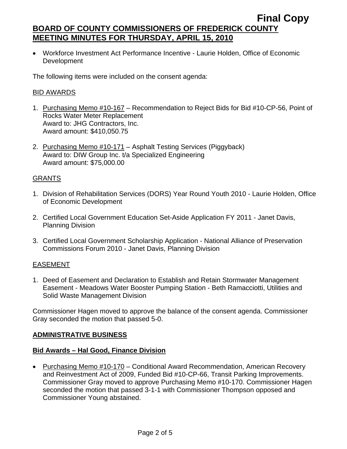• Workforce Investment Act Performance Incentive - Laurie Holden, Office of Economic Development

The following items were included on the consent agenda:

#### BID AWARDS

- 1. Purchasing Memo #10-167 Recommendation to Reject Bids for Bid #10-CP-56, Point of Rocks Water Meter Replacement Award to: JHG Contractors, Inc. Award amount: \$410,050.75
- 2. Purchasing Memo #10-171 Asphalt Testing Services (Piggyback) Award to: DIW Group Inc. t/a Specialized Engineering Award amount: \$75,000.00

## GRANTS

- 1. Division of Rehabilitation Services (DORS) Year Round Youth 2010 Laurie Holden, Office of Economic Development
- 2. Certified Local Government Education Set-Aside Application FY 2011 Janet Davis, Planning Division
- 3. Certified Local Government Scholarship Application National Alliance of Preservation Commissions Forum 2010 - Janet Davis, Planning Division

## EASEMENT

1. Deed of Easement and Declaration to Establish and Retain Stormwater Management Easement - Meadows Water Booster Pumping Station - Beth Ramacciotti, Utilities and Solid Waste Management Division

Commissioner Hagen moved to approve the balance of the consent agenda. Commissioner Gray seconded the motion that passed 5-0.

#### **ADMINISTRATIVE BUSINESS**

#### **Bid Awards – Hal Good, Finance Division**

• Purchasing Memo #10-170 – Conditional Award Recommendation, American Recovery and Reinvestment Act of 2009, Funded Bid #10-CP-66, Transit Parking Improvements. Commissioner Gray moved to approve Purchasing Memo #10-170. Commissioner Hagen seconded the motion that passed 3-1-1 with Commissioner Thompson opposed and Commissioner Young abstained.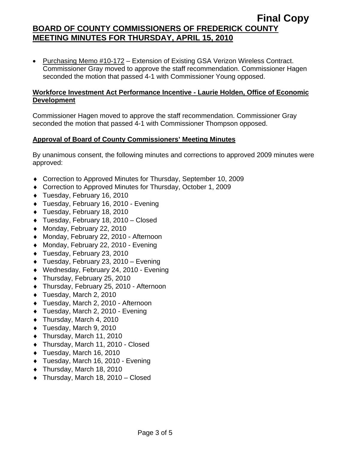• Purchasing Memo #10-172 – Extension of Existing GSA Verizon Wireless Contract. Commissioner Gray moved to approve the staff recommendation. Commissioner Hagen seconded the motion that passed 4-1 with Commissioner Young opposed.

#### **Workforce Investment Act Performance Incentive - Laurie Holden, Office of Economic Development**

Commissioner Hagen moved to approve the staff recommendation. Commissioner Gray seconded the motion that passed 4-1 with Commissioner Thompson opposed.

## **Approval of Board of County Commissioners' Meeting Minutes**

By unanimous consent, the following minutes and corrections to approved 2009 minutes were approved:

- ♦ Correction to Approved Minutes for Thursday, September 10, 2009
- ♦ Correction to Approved Minutes for Thursday, October 1, 2009
- ♦ Tuesday, February 16, 2010
- ♦ Tuesday, February 16, 2010 Evening
- ♦ Tuesday, February 18, 2010
- ♦ Tuesday, February 18, 2010 Closed
- ♦ Monday, February 22, 2010
- ♦ Monday, February 22, 2010 Afternoon
- ♦ Monday, February 22, 2010 Evening
- ♦ Tuesday, February 23, 2010
- ♦ Tuesday, February 23, 2010 Evening
- ♦ Wednesday, February 24, 2010 Evening
- ♦ Thursday, February 25, 2010
- ♦ Thursday, February 25, 2010 Afternoon
- ♦ Tuesday, March 2, 2010
- ♦ Tuesday, March 2, 2010 Afternoon
- ♦ Tuesday, March 2, 2010 Evening
- ♦ Thursday, March 4, 2010
- ♦ Tuesday, March 9, 2010
- ♦ Thursday, March 11, 2010
- ♦ Thursday, March 11, 2010 Closed
- ♦ Tuesday, March 16, 2010
- ♦ Tuesday, March 16, 2010 Evening
- ♦ Thursday, March 18, 2010
- $\bullet$  Thursday, March 18, 2010 Closed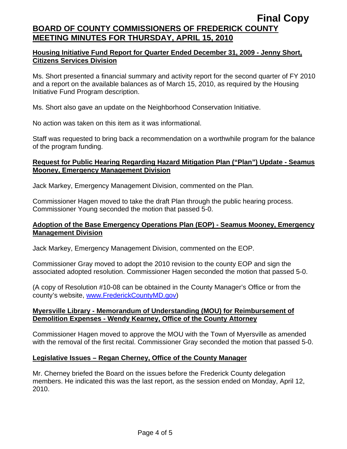### **Housing Initiative Fund Report for Quarter Ended December 31, 2009 - Jenny Short, Citizens Services Division**

Ms. Short presented a financial summary and activity report for the second quarter of FY 2010 and a report on the available balances as of March 15, 2010, as required by the Housing Initiative Fund Program description.

Ms. Short also gave an update on the Neighborhood Conservation Initiative.

No action was taken on this item as it was informational.

Staff was requested to bring back a recommendation on a worthwhile program for the balance of the program funding.

#### **Request for Public Hearing Regarding Hazard Mitigation Plan ("Plan") Update - Seamus Mooney, Emergency Management Division**

Jack Markey, Emergency Management Division, commented on the Plan.

Commissioner Hagen moved to take the draft Plan through the public hearing process. Commissioner Young seconded the motion that passed 5-0.

### **Adoption of the Base Emergency Operations Plan (EOP) - Seamus Mooney, Emergency Management Division**

Jack Markey, Emergency Management Division, commented on the EOP.

Commissioner Gray moved to adopt the 2010 revision to the county EOP and sign the associated adopted resolution. Commissioner Hagen seconded the motion that passed 5-0.

(A copy of Resolution #10-08 can be obtained in the County Manager's Office or from the county's website, [www.FrederickCountyMD.gov\)](http://www.frederickcountymd.gov/)

#### **Myersville Library - Memorandum of Understanding (MOU) for Reimbursement of Demolition Expenses - Wendy Kearney, Office of the County Attorney**

Commissioner Hagen moved to approve the MOU with the Town of Myersville as amended with the removal of the first recital. Commissioner Gray seconded the motion that passed 5-0.

## **Legislative Issues – Regan Cherney, Office of the County Manager**

Mr. Cherney briefed the Board on the issues before the Frederick County delegation members. He indicated this was the last report, as the session ended on Monday, April 12, 2010.